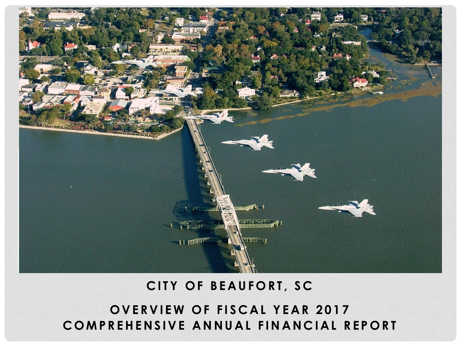

# **CITY OF BEAUFORT, SC**

# **OVERVIEW OF FISCAL YEAR 2017 COMPREHENSIVE ANNUAL FINANCIAL REPORT**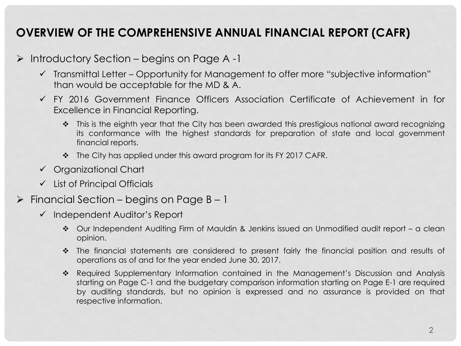### **OVERVIEW OF THE COMPREHENSIVE ANNUAL FINANCIAL REPORT (CAFR)**

- $\triangleright$  Introductory Section begins on Page A -1
	- ✓ Transmittal Letter Opportunity for Management to offer more "subjective information" than would be acceptable for the MD & A.
	- ✓ FY 2016 Government Finance Officers Association Certificate of Achievement in for Excellence in Financial Reporting.
		- ❖ This is the eighth year that the City has been awarded this prestigious national award recognizing its conformance with the highest standards for preparation of state and local government financial reports.
		- ❖ The City has applied under this award program for its FY 2017 CAFR.
	- ✓ Organizational Chart
	- ✓ List of Principal Officials
- $\triangleright$  Financial Section begins on Page B 1
	- ✓ Independent Auditor's Report
		- ❖ Our Independent Auditing Firm of Mauldin & Jenkins issued an Unmodified audit report a clean opinion.
		- ❖ The financial statements are considered to present fairly the financial position and results of operations as of and for the year ended June 30, 2017.
		- ❖ Required Supplementary Information contained in the Management's Discussion and Analysis starting on Page C-1 and the budgetary comparison information starting on Page E-1 are required by auditing standards, but no opinion is expressed and no assurance is provided on that respective information.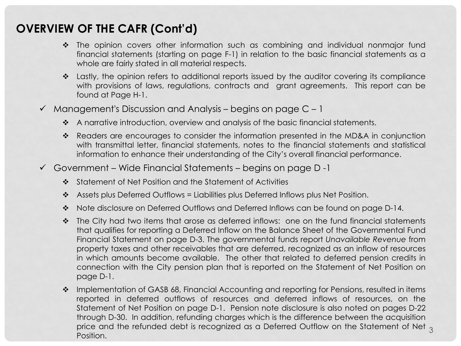- ❖ The opinion covers other information such as combining and individual nonmajor fund financial statements (starting on page F-1) in relation to the basic financial statements as a whole are fairly stated in all material respects.
- ❖ Lastly, the opinion refers to additional reports issued by the auditor covering its compliance with provisions of laws, regulations, contracts and grant agreements. This report can be found at Page H-1.
- $\checkmark$  Management's Discussion and Analysis begins on page C 1
	- ❖ A narrative introduction, overview and analysis of the basic financial statements.
	- ❖ Readers are encourages to consider the information presented in the MD&A in conjunction with transmittal letter, financial statements, notes to the financial statements and statistical information to enhance their understanding of the City's overall financial performance.
- $\checkmark$  Government Wide Financial Statements begins on page D-1
	- ❖ Statement of Net Position and the Statement of Activities
	- ❖ Assets plus Deferred Outflows = Liabilities plus Deferred Inflows plus Net Position.
	- ❖ Note disclosure on Deferred Outflows and Deferred Inflows can be found on page D-14.
	- ❖ The City had two items that arose as deferred inflows: one on the fund financial statements that qualifies for reporting a Deferred Inflow on the Balance Sheet of the Governmental Fund Financial Statement on page D-3. The governmental funds report *Unavailable Revenue* from property taxes and other receivables that are deferred, recognized as an inflow of resources in which amounts become available. The other that related to deferred pension credits in connection with the City pension plan that is reported on the Statement of Net Position on page D-1.
	- ❖ Implementation of GASB 68, Financial Accounting and reporting for Pensions, resulted in items reported in deferred outflows of resources and deferred inflows of resources, on the Statement of Net Position on page D-1. Pension note disclosure is also noted on pages D-22 through D-30. In addition, refunding charges which is the difference between the acquisition price and the refunded debt is recognized as a Deferred Outflow on the Statement of Net <sub>3</sub> Position.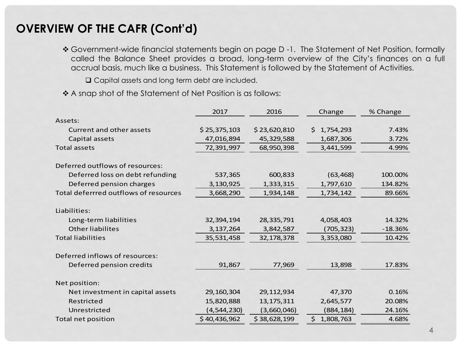❖ Government-wide financial statements begin on page D -1. The Statement of Net Position, formally called the Balance Sheet provides a broad, long-term overview of the City's finances on a full accrual basis, much like a business. This Statement is followed by the Statement of Activities.

Capital assets and long term debt are included.

❖ A snap shot of the Statement of Net Position is as follows:

|                                       | 2017          | 2016         | Change          | % Change  |
|---------------------------------------|---------------|--------------|-----------------|-----------|
| Assets:                               |               |              |                 |           |
| Current and other assets              | \$25,375,103  | \$23,620,810 | \$1,754,293     | 7.43%     |
| Capital assets                        | 47,016,894    | 45,329,588   | 1,687,306       | 3.72%     |
| <b>Total assets</b>                   | 72,391,997    | 68,950,398   | 3,441,599       | 4.99%     |
| Deferred outflows of resources:       |               |              |                 |           |
| Deferred loss on debt refunding       | 537,365       | 600,833      | (63, 468)       | 100.00%   |
| Deferred pension charges              | 3,130,925     | 1,333,315    | 1,797,610       | 134.82%   |
| Total deferrred outflows of resources | 3,668,290     | 1,934,148    | 1,734,142       | 89.66%    |
| Liabilities:                          |               |              |                 |           |
| Long-term liabilities                 | 32,394,194    | 28,335,791   | 4,058,403       | 14.32%    |
| Other liabilites                      | 3, 137, 264   | 3,842,587    | (705, 323)      | $-18.36%$ |
| <b>Total liabilities</b>              | 35,531,458    | 32,178,378   | 3,353,080       | 10.42%    |
| Deferred inflows of resources:        |               |              |                 |           |
| Deferred pension credits              | 91,867        | 77,969       | 13,898          | 17.83%    |
| Net position:                         |               |              |                 |           |
| Net investment in capital assets      | 29, 160, 304  | 29, 112, 934 | 47,370          | 0.16%     |
| Restricted                            | 15,820,888    | 13, 175, 311 | 2,645,577       | 20.08%    |
| Unrestricted                          | (4, 544, 230) | (3,660,046)  | (884, 184)      | 24.16%    |
| Total net position                    | \$40,436,962  | \$38,628,199 | 1,808,763<br>Ś. | 4.68%     |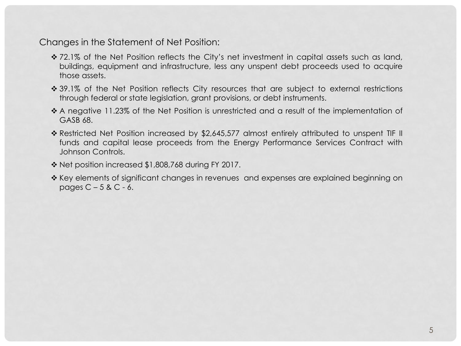Changes in the Statement of Net Position:

- ❖ 72.1% of the Net Position reflects the City's net investment in capital assets such as land, buildings, equipment and infrastructure, less any unspent debt proceeds used to acquire those assets.
- ❖ 39.1% of the Net Position reflects City resources that are subject to external restrictions through federal or state legislation, grant provisions, or debt instruments.
- ❖ A negative 11.23% of the Net Position is unrestricted and a result of the implementation of GASB 68.
- ❖ Restricted Net Position increased by \$2,645,577 almost entirely attributed to unspent TIF II funds and capital lease proceeds from the Energy Performance Services Contract with Johnson Controls.
- ❖ Net position increased \$1,808,768 during FY 2017.
- ❖ Key elements of significant changes in revenues and expenses are explained beginning on pages  $C - 5$  &  $C - 6$ .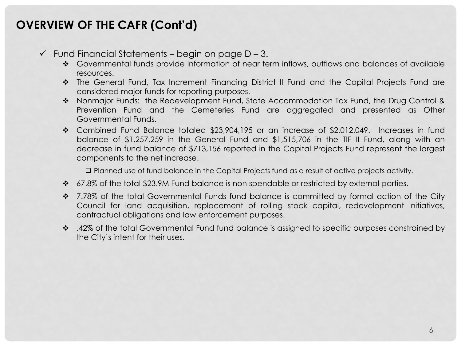- $\checkmark$  Fund Financial Statements begin on page D 3.
	- ❖ Governmental funds provide information of near term inflows, outflows and balances of available resources.
	- ❖ The General Fund, Tax Increment Financing District II Fund and the Capital Projects Fund are considered major funds for reporting purposes.
	- ❖ Nonmajor Funds: the Redevelopment Fund, State Accommodation Tax Fund, the Drug Control & Prevention Fund and the Cemeteries Fund are aggregated and presented as Other Governmental Funds.
	- ❖ Combined Fund Balance totaled \$23,904,195 or an increase of \$2,012,049. Increases in fund balance of \$1,257,259 in the General Fund and \$1,515,706 in the TIF II Fund, along with an decrease in fund balance of \$713,156 reported in the Capital Projects Fund represent the largest components to the net increase.

Planned use of fund balance in the Capital Projects fund as a result of active projects activity.

- ❖ 67.8% of the total \$23.9M Fund balance is non spendable or restricted by external parties.
- ❖ 7.78% of the total Governmental Funds fund balance is committed by formal action of the City Council for land acquisition, replacement of rolling stock capital, redevelopment initiatives, contractual obligations and law enforcement purposes.
- ❖ .42% of the total Governmental Fund fund balance is assigned to specific purposes constrained by the City's intent for their uses.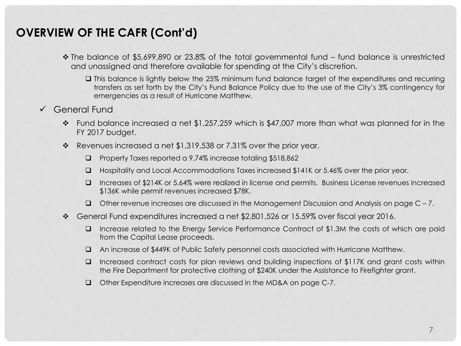- ❖ The balance of \$5,699,890 or 23.8% of the total governmental fund fund balance is unrestricted and unassigned and therefore available for spending at the City's discretion.
	- This balance is lightly below the 25% minimum fund balance target of the expenditures and recurring transfers as set forth by the City's Fund Balance Policy due to the use of the City's 3% contingency for emergencies as a result of Hurricane Matthew.
- ✓ General Fund
	- $\cdot \cdot$  Fund balance increased a net \$1,257,259 which is \$47,007 more than what was planned for in the FY 2017 budget.
	- $\cdot \cdot$  Revenues increased a net \$1,319,538 or 7.31% over the prior year.
		- Property Taxes reported a 9.74% increase totaling \$518,862
		- Hospitality and Local Accommodations Taxes increased \$141K or 5.46% over the prior year.
		- Increases of \$214K or 5.64% were realized in license and permits. Business License revenues increased \$136K while permit revenues increased \$78K.
		- $\Box$  Other revenue increases are discussed in the Management Discussion and Analysis on page C 7.
	- $\cdot \cdot$  General Fund expenditures increased a net \$2,801,526 or 15.59% over fiscal year 2016.
		- Increase related to the Energy Service Performance Contract of \$1.3M the costs of which are paid from the Capital Lease proceeds.
		- An increase of \$449K of Public Safety personnel costs associated with Hurricane Matthew.
		- $\Box$  Increased contract costs for plan reviews and building inspections of \$117K and grant costs within the Fire Department for protective clothing of \$240K under the Assistance to Firefighter grant.
		- Other Expenditure increases are discussed in the MD&A on page C-7.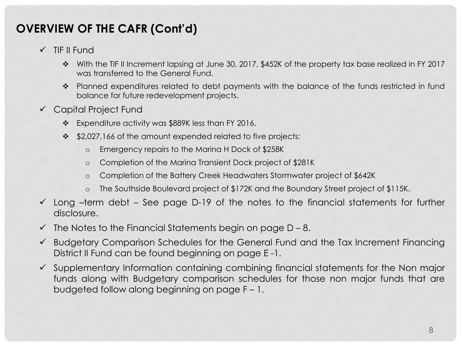- ✓ TIF II Fund
	- ❖ With the TIF II Increment lapsing at June 30, 2017, \$452K of the property tax base realized in FY 2017 was transferred to the General Fund.
	- ❖ Planned expenditures related to debt payments with the balance of the funds restricted in fund balance for future redevelopment projects.
- ✓ Capital Project Fund
	- ❖ Expenditure activity was \$889K less than FY 2016.
	- ❖ \$2,027,166 of the amount expended related to five projects:
		- o Emergency repairs to the Marina H Dock of \$258K
		- o Completion of the Marina Transient Dock project of \$281K
		- o Completion of the Battery Creek Headwaters Stormwater project of \$642K
		- o The Southside Boulevard project of \$172K and the Boundary Street project of \$115K.
- $\checkmark$  Long –term debt See page D-19 of the notes to the financial statements for further disclosure.
- $\checkmark$  The Notes to the Financial Statements begin on page D 8.
- ✓ Budgetary Comparison Schedules for the General Fund and the Tax Increment Financing District II Fund can be found beginning on page E -1.
- $\checkmark$  Supplementary Information containing combining financial statements for the Non major funds along with Budgetary comparison schedules for those non major funds that are budgeted follow along beginning on page F – 1.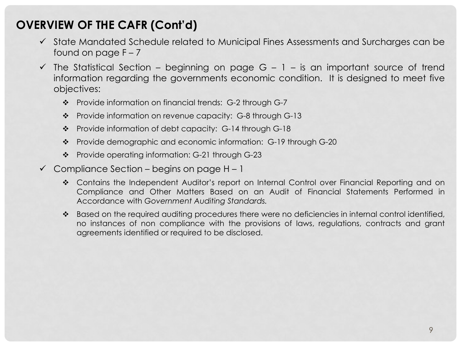- ✓ State Mandated Schedule related to Municipal Fines Assessments and Surcharges can be found on page  $F - 7$
- $\checkmark$  The Statistical Section beginning on page G 1 is an important source of trend information regarding the governments economic condition. It is designed to meet five objectives:
	- ❖ Provide information on financial trends: G-2 through G-7
	- ❖ Provide information on revenue capacity: G-8 through G-13
	- ❖ Provide information of debt capacity: G-14 through G-18
	- ❖ Provide demographic and economic information: G-19 through G-20
	- ❖ Provide operating information: G-21 through G-23
- $\checkmark$  Compliance Section begins on page H 1
	- ❖ Contains the Independent Auditor's report on Internal Control over Financial Reporting and on Compliance and Other Matters Based on an Audit of Financial Statements Performed in Accordance with *Government Auditing Standards.*
	- ❖ Based on the required auditing procedures there were no deficiencies in internal control identified, no instances of non compliance with the provisions of laws, regulations, contracts and grant agreements identified or required to be disclosed.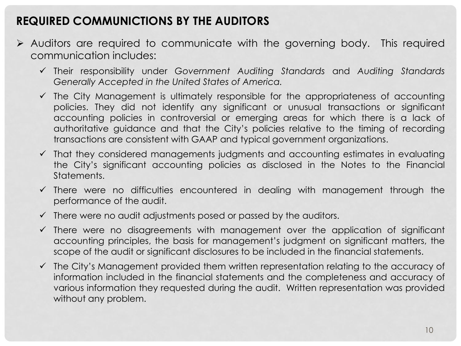#### **REQUIRED COMMUNICTIONS BY THE AUDITORS**

- ➢ Auditors are required to communicate with the governing body. This required communication includes:
	- ✓ Their responsibility under *Government Auditing Standards* and *Auditing Standards Generally Accepted in the United States of America.*
	- $\checkmark$  The City Management is ultimately responsible for the appropriateness of accounting policies. They did not identify any significant or unusual transactions or significant accounting policies in controversial or emerging areas for which there is a lack of authoritative guidance and that the City's policies relative to the timing of recording transactions are consistent with GAAP and typical government organizations.
	- $\checkmark$  That they considered managements judgments and accounting estimates in evaluating the City's significant accounting policies as disclosed in the Notes to the Financial **Statements**
	- $\checkmark$  There were no difficulties encountered in dealing with management through the performance of the audit.
	- $\checkmark$  There were no audit adjustments posed or passed by the auditors.
	- $\checkmark$  There were no disagreements with management over the application of significant accounting principles, the basis for management's judgment on significant matters, the scope of the audit or significant disclosures to be included in the financial statements.
	- $\checkmark$  The City's Management provided them written representation relating to the accuracy of information included in the financial statements and the completeness and accuracy of various information they requested during the audit. Written representation was provided without any problem.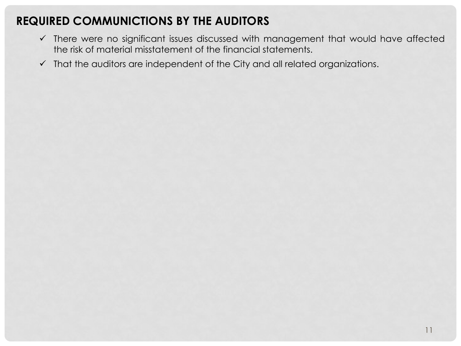### **REQUIRED COMMUNICTIONS BY THE AUDITORS**

- ✓ There were no significant issues discussed with management that would have affected the risk of material misstatement of the financial statements.
- ✓ That the auditors are independent of the City and all related organizations.